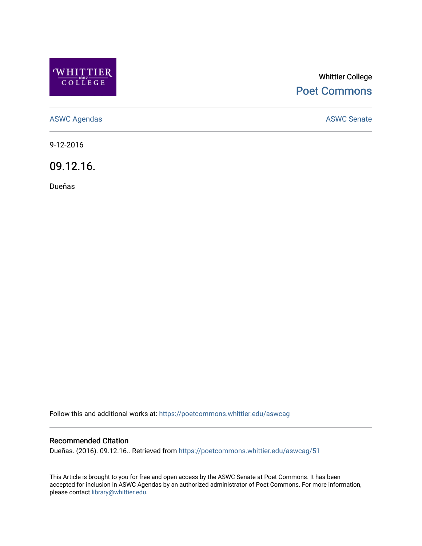

## Whittier College [Poet Commons](https://poetcommons.whittier.edu/)

[ASWC Agendas](https://poetcommons.whittier.edu/aswcag) **ASWC Senate** 

9-12-2016

09.12.16.

Dueñas

Follow this and additional works at: [https://poetcommons.whittier.edu/aswcag](https://poetcommons.whittier.edu/aswcag?utm_source=poetcommons.whittier.edu%2Faswcag%2F51&utm_medium=PDF&utm_campaign=PDFCoverPages) 

## Recommended Citation

Dueñas. (2016). 09.12.16.. Retrieved from [https://poetcommons.whittier.edu/aswcag/51](https://poetcommons.whittier.edu/aswcag/51?utm_source=poetcommons.whittier.edu%2Faswcag%2F51&utm_medium=PDF&utm_campaign=PDFCoverPages) 

This Article is brought to you for free and open access by the ASWC Senate at Poet Commons. It has been accepted for inclusion in ASWC Agendas by an authorized administrator of Poet Commons. For more information, please contact [library@whittier.edu](mailto:library@whittier.edu).